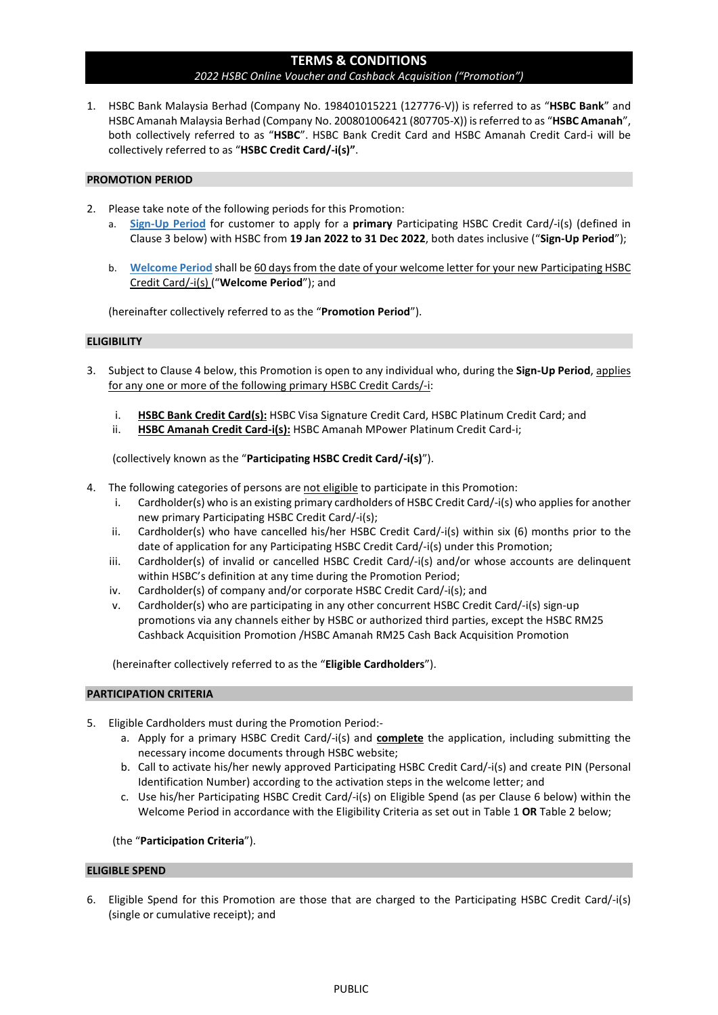# TERMS & CONDITIONS

### 2022 HSBC Online Voucher and Cashback Acquisition ("Promotion")

1. HSBC Bank Malaysia Berhad (Company No. 198401015221 (127776-V)) is referred to as "HSBC Bank" and HSBC Amanah Malaysia Berhad (Company No. 200801006421 (807705-X)) is referred to as "HSBC Amanah", both collectively referred to as "HSBC". HSBC Bank Credit Card and HSBC Amanah Credit Card-i will be collectively referred to as "HSBC Credit Card/-i(s)".

### PROMOTION PERIOD

- 2. Please take note of the following periods for this Promotion:
	- a. Sign-Up Period for customer to apply for a primary Participating HSBC Credit Card/-i(s) (defined in Clause 3 below) with HSBC from 19 Jan 2022 to 31 Dec 2022, both dates inclusive ("Sign-Up Period");
	- b. Welcome Period shall be 60 days from the date of your welcome letter for your new Participating HSBC Credit Card/-i(s) ("Welcome Period"); and

(hereinafter collectively referred to as the "Promotion Period").

### **ELIGIBILITY**

- 3. Subject to Clause 4 below, this Promotion is open to any individual who, during the Sign-Up Period, applies for any one or more of the following primary HSBC Credit Cards/-i:
	- i. HSBC Bank Credit Card(s): HSBC Visa Signature Credit Card, HSBC Platinum Credit Card; and
	- ii. HSBC Amanah Credit Card-i(s): HSBC Amanah MPower Platinum Credit Card-i;

(collectively known as the "Participating HSBC Credit Card/-i(s)").

- 4. The following categories of persons are not eligible to participate in this Promotion:
	- i. Cardholder(s) who is an existing primary cardholders of HSBC Credit Card/-i(s) who applies for another new primary Participating HSBC Credit Card/-i(s);
	- ii. Cardholder(s) who have cancelled his/her HSBC Credit Card/-i(s) within six (6) months prior to the date of application for any Participating HSBC Credit Card/-i(s) under this Promotion;
	- iii. Cardholder(s) of invalid or cancelled HSBC Credit Card/-i(s) and/or whose accounts are delinquent within HSBC's definition at any time during the Promotion Period;
	- iv. Cardholder(s) of company and/or corporate HSBC Credit Card/-i(s); and
	- v. Cardholder(s) who are participating in any other concurrent HSBC Credit Card/-i(s) sign-up promotions via any channels either by HSBC or authorized third parties, except the HSBC RM25 Cashback Acquisition Promotion /HSBC Amanah RM25 Cash Back Acquisition Promotion

(hereinafter collectively referred to as the "Eligible Cardholders").

#### PARTICIPATION CRITERIA

- 5. Eligible Cardholders must during the Promotion Period:
	- a. Apply for a primary HSBC Credit Card/-i(s) and **complete** the application, including submitting the necessary income documents through HSBC website;
	- b. Call to activate his/her newly approved Participating HSBC Credit Card/-i(s) and create PIN (Personal Identification Number) according to the activation steps in the welcome letter; and
	- c. Use his/her Participating HSBC Credit Card/-i(s) on Eligible Spend (as per Clause 6 below) within the Welcome Period in accordance with the Eligibility Criteria as set out in Table 1 OR Table 2 below;

## (the "Participation Criteria").

#### ELIGIBLE SPEND

6. Eligible Spend for this Promotion are those that are charged to the Participating HSBC Credit Card/-i(s) (single or cumulative receipt); and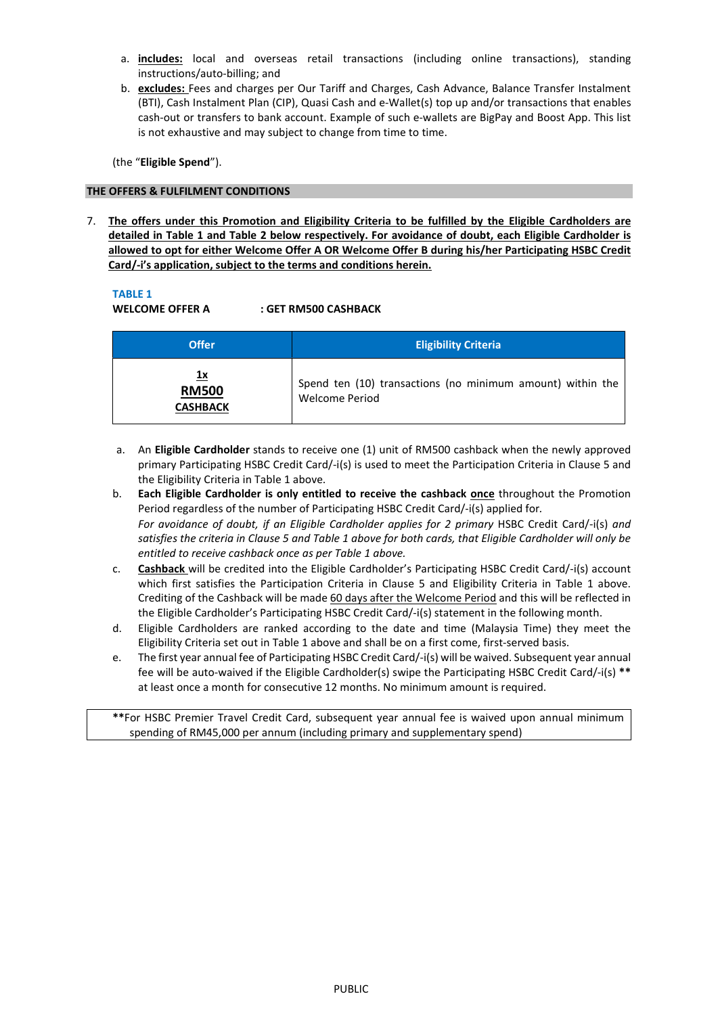- a. includes: local and overseas retail transactions (including online transactions), standing instructions/auto-billing; and
- b. excludes: Fees and charges per Our Tariff and Charges, Cash Advance, Balance Transfer Instalment (BTI), Cash Instalment Plan (CIP), Quasi Cash and e-Wallet(s) top up and/or transactions that enables cash-out or transfers to bank account. Example of such e-wallets are BigPay and Boost App. This list is not exhaustive and may subject to change from time to time.

(the "Eligible Spend").

# THE OFFERS & FULFILMENT CONDITIONS

7. The offers under this Promotion and Eligibility Criteria to be fulfilled by the Eligible Cardholders are detailed in Table 1 and Table 2 below respectively. For avoidance of doubt, each Eligible Cardholder is allowed to opt for either Welcome Offer A OR Welcome Offer B during his/her Participating HSBC Credit Card/-i's application, subject to the terms and conditions herein.

# TABLE 1

WELCOME OFFER A : GET RM500 CASHBACK

| <b>Offer</b>                          | <b>Eligibility Criteria</b>                                                  |
|---------------------------------------|------------------------------------------------------------------------------|
| 1x<br><b>RM500</b><br><b>CASHBACK</b> | Spend ten (10) transactions (no minimum amount) within the<br>Welcome Period |

- a. An Eligible Cardholder stands to receive one (1) unit of RM500 cashback when the newly approved primary Participating HSBC Credit Card/-i(s) is used to meet the Participation Criteria in Clause 5 and the Eligibility Criteria in Table 1 above.
- b. Each Eligible Cardholder is only entitled to receive the cashback once throughout the Promotion Period regardless of the number of Participating HSBC Credit Card/-i(s) applied for. For avoidance of doubt, if an Eligible Cardholder applies for 2 primary HSBC Credit Card/-i(s) and satisfies the criteria in Clause 5 and Table 1 above for both cards, that Eligible Cardholder will only be entitled to receive cashback once as per Table 1 above.
- c. Cashback will be credited into the Eligible Cardholder's Participating HSBC Credit Card/-i(s) account which first satisfies the Participation Criteria in Clause 5 and Eligibility Criteria in Table 1 above. Crediting of the Cashback will be made 60 days after the Welcome Period and this will be reflected in the Eligible Cardholder's Participating HSBC Credit Card/-i(s) statement in the following month.
- d. Eligible Cardholders are ranked according to the date and time (Malaysia Time) they meet the Eligibility Criteria set out in Table 1 above and shall be on a first come, first-served basis.
- e. The first year annual fee of Participating HSBC Credit Card/-i(s) will be waived. Subsequent year annual fee will be auto-waived if the Eligible Cardholder(s) swipe the Participating HSBC Credit Card/-i(s) \*\* at least once a month for consecutive 12 months. No minimum amount is required.

\*\*For HSBC Premier Travel Credit Card, subsequent year annual fee is waived upon annual minimum spending of RM45,000 per annum (including primary and supplementary spend)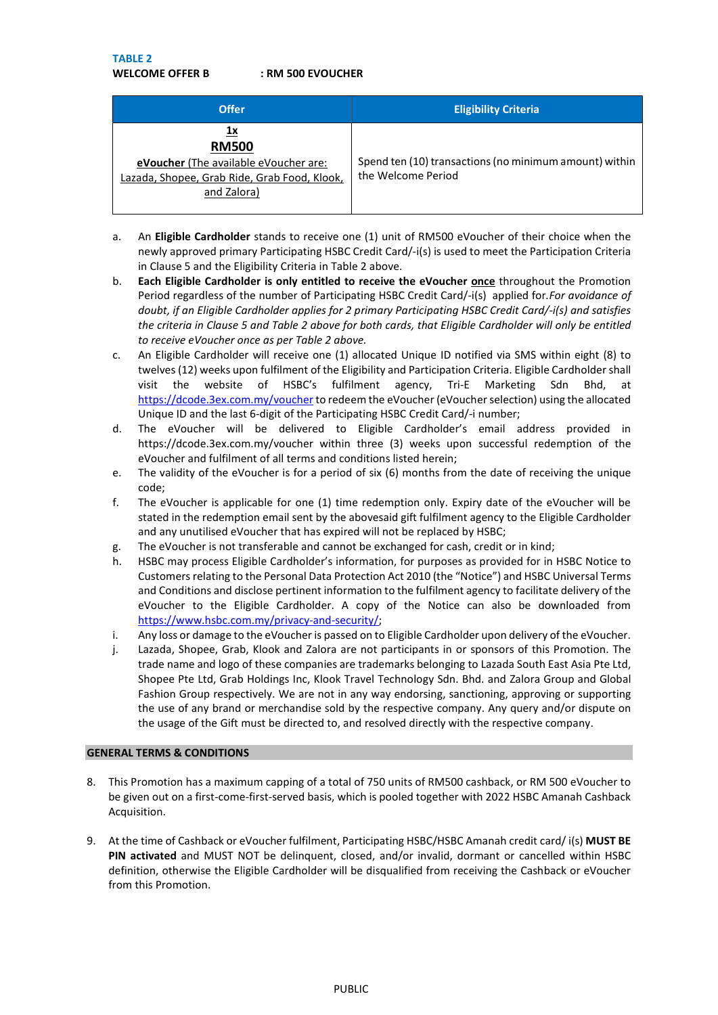TABLE 2

WELCOME OFFER B : RM 500 EVOUCHER

| <b>Offer</b>                                                                                                               | <b>Eligibility Criteria</b>                                                  |
|----------------------------------------------------------------------------------------------------------------------------|------------------------------------------------------------------------------|
| 1х<br><b>RM500</b><br>eVoucher (The available eVoucher are:<br>Lazada, Shopee, Grab Ride, Grab Food, Klook,<br>and Zalora) | Spend ten (10) transactions (no minimum amount) within<br>the Welcome Period |

- a. An Eligible Cardholder stands to receive one (1) unit of RM500 eVoucher of their choice when the newly approved primary Participating HSBC Credit Card/-i(s) is used to meet the Participation Criteria in Clause 5 and the Eligibility Criteria in Table 2 above.
- b. Each Eligible Cardholder is only entitled to receive the eVoucher once throughout the Promotion Period regardless of the number of Participating HSBC Credit Card/-i(s) applied for. For avoidance of doubt, if an Eligible Cardholder applies for 2 primary Participating HSBC Credit Card/-i(s) and satisfies the criteria in Clause 5 and Table 2 above for both cards, that Eligible Cardholder will only be entitled to receive eVoucher once as per Table 2 above.
- c. An Eligible Cardholder will receive one (1) allocated Unique ID notified via SMS within eight (8) to twelves (12) weeks upon fulfilment of the Eligibility and Participation Criteria. Eligible Cardholder shall visit the website of HSBC's fulfilment agency, Tri-E Marketing Sdn Bhd, at https://dcode.3ex.com.my/voucher to redeem the eVoucher (eVoucher selection) using the allocated Unique ID and the last 6-digit of the Participating HSBC Credit Card/-i number;
- d. The eVoucher will be delivered to Eligible Cardholder's email address provided in https://dcode.3ex.com.my/voucher within three (3) weeks upon successful redemption of the eVoucher and fulfilment of all terms and conditions listed herein;
- e. The validity of the eVoucher is for a period of six (6) months from the date of receiving the unique code;
- f. The eVoucher is applicable for one (1) time redemption only. Expiry date of the eVoucher will be stated in the redemption email sent by the abovesaid gift fulfilment agency to the Eligible Cardholder and any unutilised eVoucher that has expired will not be replaced by HSBC;
- g. The eVoucher is not transferable and cannot be exchanged for cash, credit or in kind;
- h. HSBC may process Eligible Cardholder's information, for purposes as provided for in HSBC Notice to Customers relating to the Personal Data Protection Act 2010 (the "Notice") and HSBC Universal Terms and Conditions and disclose pertinent information to the fulfilment agency to facilitate delivery of the eVoucher to the Eligible Cardholder. A copy of the Notice can also be downloaded from https://www.hsbc.com.my/privacy-and-security/;
- i. Any loss or damage to the eVoucher is passed on to Eligible Cardholder upon delivery of the eVoucher.
- j. Lazada, Shopee, Grab, Klook and Zalora are not participants in or sponsors of this Promotion. The trade name and logo of these companies are trademarks belonging to Lazada South East Asia Pte Ltd, Shopee Pte Ltd, Grab Holdings Inc, Klook Travel Technology Sdn. Bhd. and Zalora Group and Global Fashion Group respectively. We are not in any way endorsing, sanctioning, approving or supporting the use of any brand or merchandise sold by the respective company. Any query and/or dispute on the usage of the Gift must be directed to, and resolved directly with the respective company.

## GENERAL TERMS & CONDITIONS

- 8. This Promotion has a maximum capping of a total of 750 units of RM500 cashback, or RM 500 eVoucher to be given out on a first-come-first-served basis, which is pooled together with 2022 HSBC Amanah Cashback Acquisition.
- 9. At the time of Cashback or eVoucher fulfilment, Participating HSBC/HSBC Amanah credit card/i(s) MUST BE PIN activated and MUST NOT be delinquent, closed, and/or invalid, dormant or cancelled within HSBC definition, otherwise the Eligible Cardholder will be disqualified from receiving the Cashback or eVoucher from this Promotion.